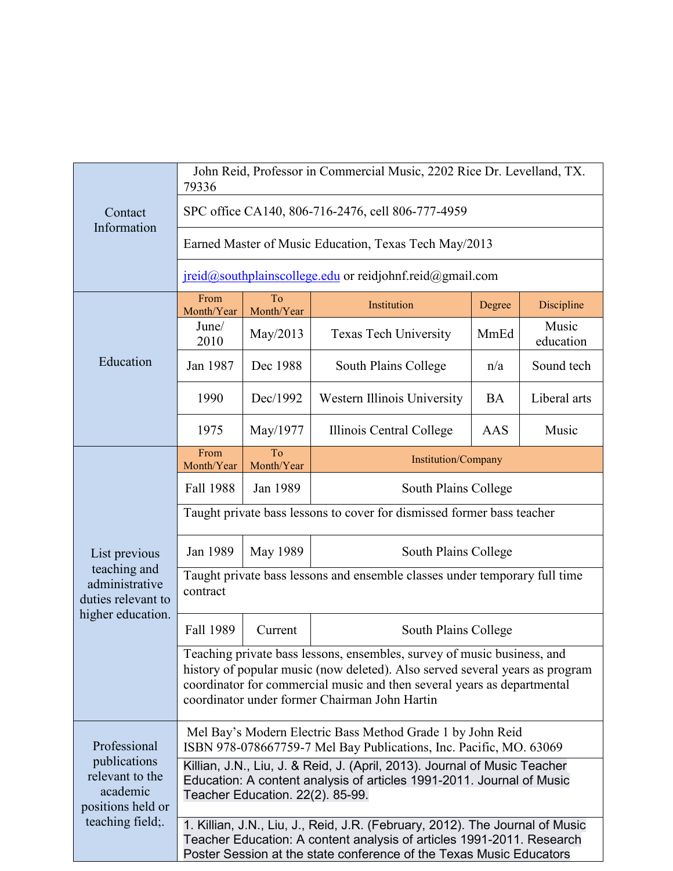| Contact<br>Information                                                                               | John Reid, Professor in Commercial Music, 2202 Rice Dr. Levelland, TX.<br>79336                                                                                                                                                                                                     |                  |                              |           |                    |  |
|------------------------------------------------------------------------------------------------------|-------------------------------------------------------------------------------------------------------------------------------------------------------------------------------------------------------------------------------------------------------------------------------------|------------------|------------------------------|-----------|--------------------|--|
|                                                                                                      | SPC office CA140, 806-716-2476, cell 806-777-4959                                                                                                                                                                                                                                   |                  |                              |           |                    |  |
|                                                                                                      | Earned Master of Music Education, Texas Tech May/2013                                                                                                                                                                                                                               |                  |                              |           |                    |  |
|                                                                                                      | jreid@southplainscollege.edu or reidjohnf.reid@gmail.com                                                                                                                                                                                                                            |                  |                              |           |                    |  |
| Education                                                                                            | From<br>Month/Year                                                                                                                                                                                                                                                                  | To<br>Month/Year | Institution                  | Degree    | Discipline         |  |
|                                                                                                      | June/<br>2010                                                                                                                                                                                                                                                                       | May/2013         | <b>Texas Tech University</b> | MmEd      | Music<br>education |  |
|                                                                                                      | Jan 1987                                                                                                                                                                                                                                                                            | Dec 1988         | South Plains College         | n/a       | Sound tech         |  |
|                                                                                                      | 1990                                                                                                                                                                                                                                                                                | Dec/1992         | Western Illinois University  | <b>BA</b> | Liberal arts       |  |
|                                                                                                      | 1975                                                                                                                                                                                                                                                                                | May/1977         | Illinois Central College     | AAS       | Music              |  |
| List previous<br>teaching and<br>administrative<br>duties relevant to<br>higher education.           | From<br>Month/Year                                                                                                                                                                                                                                                                  | To<br>Month/Year | Institution/Company          |           |                    |  |
|                                                                                                      | Fall 1988                                                                                                                                                                                                                                                                           | Jan 1989         | South Plains College         |           |                    |  |
|                                                                                                      | Taught private bass lessons to cover for dismissed former bass teacher                                                                                                                                                                                                              |                  |                              |           |                    |  |
|                                                                                                      | Jan 1989                                                                                                                                                                                                                                                                            | May 1989         | South Plains College         |           |                    |  |
|                                                                                                      | Taught private bass lessons and ensemble classes under temporary full time<br>contract                                                                                                                                                                                              |                  |                              |           |                    |  |
|                                                                                                      | Fall 1989                                                                                                                                                                                                                                                                           | Current          | South Plains College         |           |                    |  |
|                                                                                                      | Teaching private bass lessons, ensembles, survey of music business, and<br>history of popular music (now deleted). Also served several years as program<br>coordinator for commercial music and then several years as departmental<br>coordinator under former Chairman John Hartin |                  |                              |           |                    |  |
| Professional<br>publications<br>relevant to the<br>academic<br>positions held or<br>teaching field;. | Mel Bay's Modern Electric Bass Method Grade 1 by John Reid<br>ISBN 978-078667759-7 Mel Bay Publications, Inc. Pacific, MO. 63069                                                                                                                                                    |                  |                              |           |                    |  |
|                                                                                                      | Killian, J.N., Liu, J. & Reid, J. (April, 2013). Journal of Music Teacher<br>Education: A content analysis of articles 1991-2011. Journal of Music<br>Teacher Education. 22(2). 85-99.                                                                                              |                  |                              |           |                    |  |
|                                                                                                      | 1. Killian, J.N., Liu, J., Reid, J.R. (February, 2012). The Journal of Music<br>Teacher Education: A content analysis of articles 1991-2011. Research<br>Poster Session at the state conference of the Texas Music Educators                                                        |                  |                              |           |                    |  |